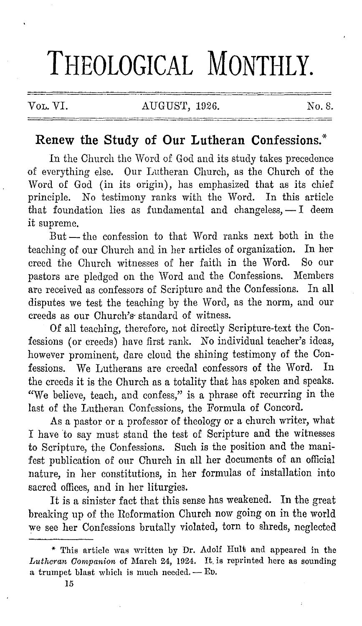# **THEOLOGICAL MONTHLY.**

#### VOL. VI. AUGUST, 1926. No. 8.

## **Renew the Study of Our Lutheran Confessions:\***

In the Church the Word of God and its study takes precedence of everything else. Our Lutheran Church, as the Church of the Word of God (in its origin), has emphasized that as its chief principle. No testimony ranks with the Word. In this article that foundation lies as fundamental and changeless,  $-1$  deem it supreme.

 $But - the$  confession to that Word ranks next both in the teaching of our Church and in her articles of organization. In her creed the Church witnesses of her faith in the Word. So our creed the Church witnesses of her faith in the Word. pastors are pledged on the Word and the Confessions. Members are received as confessors of Scripture and the Confessions. In all disputes we test the teaching by the Word, as the norm, and our creeds as our Church's· standard of witness.

Of all teaching, therefore, not directly Scripture-text the Confessions (or creeds) have first rank. No individual teacher's ideas, however prominent, dare cloud the shining testimony of the Confessions. We Lutherans are creedal confessors of the Word. In the creeds it is the Church as a totality that has spoken and speaks. "We believe, teach, and confess," is a phrase oft recurring in the last of the Lutheran Confessions, the Formula of Concord.

As a pastor or a professor of theology or a church writer, what I have 'to say must stand the test of Scripture and the witnesses to Scripture, the Confessions. Such is the position and the manifest publication of our Church in all her documents of an official nature, in her constitutions, in her formulas of installation into sacred offices, and in her liturgies.

It is a sinister fact that this sense has weakened. In the great breaking up of the Reformation Church now going on in the world we see her Confessions brutally violated, torn to shreds, neglected

<sup>\*</sup> This article was written by Dr. Adolf Hult; and appeared in the *Lutheran Companion* of March 24, 1924. It is reprinted here as sounding a trumpet blast which is much needed. -- ED.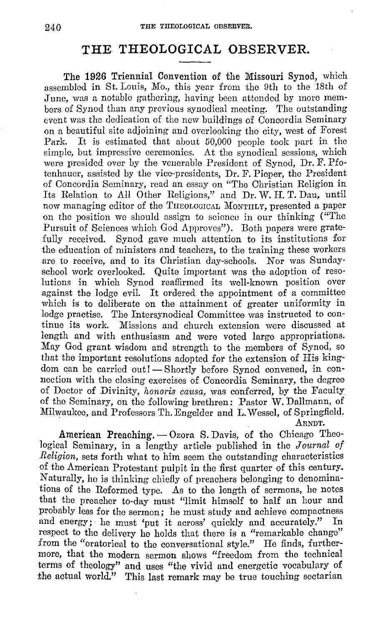### **THE THEOLOGICAL OBSERVER.**

The **1926** Triennial Convention of the Missouri Synod, which assembled in St. Louis, Mo., this year from the 9th to the 18th of ,Tune, was a notable gathering, having been attended by more members of Synod than any previous synodical meeting. The outstanding event was the dedication of the new buildings of Concordia Seminary on a beautiful site adjoining and overlooking the city, west of Forest Park. It is estimated that about 50,000 people took part in the simple, but impressive ceremonies. At the synodical sessions, which were presided over by the venerable President of Synod, Dr. F. Pfotenhauer, assisted by the vice-presidents, Dr. F. Pieper, the President of Concordia Seminary, read an essay on "The Christian Religion in Its Relation to All Other Religions," and Dr. W. H. T. Dau, until now managing editor of the THEOLOGICAL MONTHLY, presented a paper on the position we should assign to science in our thinking ("The Pursuit of Sciences which God Approves"). Both papers were gratefully received. Synod gave much attention to its institutions for the education of ministers and teachers, to the training these workers are to receive, and to its Christian day-schools. Nor was Sundayschool work overlooked. Quite important was the adoption of resolutions in which Synod reaffirmed its well-known position over against the lodge evil. It ordered the appointment of a committee which is to deliberate on the attainment of greater uniformity in lodge practise. The Intersynodical Committee was instructed to continue its work. Missions and church extension were discussed at length and with enthusiasm and were voted large appropriations. May God grant wisdom and strength to the members of Synod, so that the important resolutions adopted for the extension of His kingdom can be carried out! - Shortly before Synod convened, in connection with the closing exercises of Concordia Seminary, the degree of Doctor of Divinity, *honoris causa,* was conferred, by the Faculty of the Seminary, on the following brethren: Pastor W. Dallmann, of Milwaukee, and Professors Th. Engelder and L. Wessel, of Springfield. ARNDT,

American Preaching.  $-$  Ozora S. Davis, of the Chicago Theological Seminary, in a lengthy article published in the *Journal of Religion,* sets forth what to him seem the outstanding characteristics of the American Protestant pulpit in the first quarter of this century. Naturally, ho is thinking chiefly of preachers belonging to denominations of the Reformed type. As to the length of sermons, he notes that the preacher to-day must "limit himself to half an hour and probably less for the sermon; he must study and achieve compactness and energy; he must 'put it across' quickly and accurately." respect to the delivery he holds that there is a "remarkable change" from the "oratorical to the conversational style." He finds, furthermore, that the modern sermon shows "freedom from the technical terms of theology" and uses "the vivid and energetic vocabulary of the actual world." This last remark may be true touching sectarian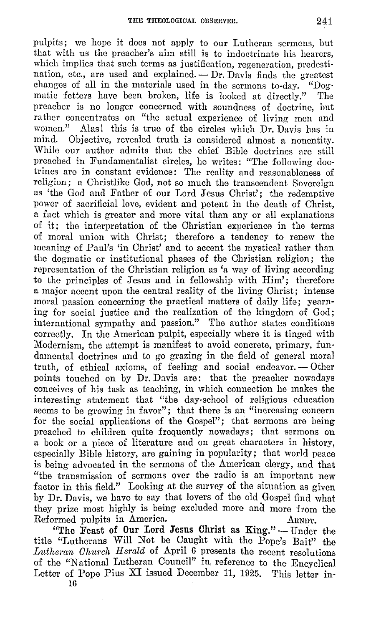pulpits; we hope it docs not apply to our Lutheran sermons, but that with us the preacher's aim still is to indoctrinate his hearers, which implies that such terms as justification, regeneration, predestination, etc., are used and explained. - Dr. Davis finds the greatest changes of all in the materials used in the sermons to-day. "Dogmatic fetters have been broken, life is looked at directly." The preacher is no longer concerned with soundness of doctrine, but rather concentrates on "the actual experience of living men and women." Alas! this is true of the circles which Dr. Davis has in mind. Objective, revealed truth is considered almost a nonentity. While our author admits that the chief Bible doctrines are still preached in Fundamentalist circles, he writes: "The following doctrines are in constant evidence: The reality and reasonableness of religion; a Christlike God, not so much the transcendent Sovereign as 'the God and Father of our Lord Jesus Christ'; the redemptive power of sacrificial love, evident and potent in the death of Christ, a fact which is greater and more vital than any or all explanations of it; the interpretation of the Christian experience in the terms of moral union with Christ; therefore a tendency to renew the meaning of Paul's 'in Christ' and to accent the mystical rather than the dogmatic or institutional phases of the Christian religion; the representation of the Christian religion as 'a way of living according to the principles of Jesus and in fellowship with Him'; therefore a major accent upon the central reality of the living Christ; intense moral passion concerning the practical matters of daily life; yearning for social justice and the realization of the kingdom of God; international sympathy and passion." The author states conditions correctly. In the American pulpit, especially where it is tinged with Modernism, the attempt is manifest to avoid concrete, primary, fundamental doctrines and to go grazing in the field of general moral truth, of ethical axioms, of feeling and social endeavor. - Other points touched on by Dr. Davis are: that the preacher nowadays conceives of his task as teaching, in which connection he makes the interesting statement that "the day-school of religious education seems to be growing in favor"; that there is an "increasing concern for the social applications of the Gospel"; that sermons are being preached to children quite frequently nowadays; that sermons on a book or a piece of literature and on great characters in history, especially Bible history, are gaining in popularity; that world peace is being advocated in the sermons of the American clergy, and that "the transmission of sermons over the radio is an important new factor in this field." Looking at the survey of the situation as given by Dr. Davis, we have to say that lovers of the old Gospel find what they prize most highly is being excluded more and more from the Reformed pulpits in America. ARNDT.

"The Feast of Our Lord Jesus Christ as King." - Under the title "Lutherans Will Not be Caught with the Pope's Bait" the *Lutheran Church Herald* of April 6 presents the recent resolutions of the "National Lutheran Council" in. reference to the Encyclical Letter of Popo Pius XI issued December 11, 1925. This letter in- $16$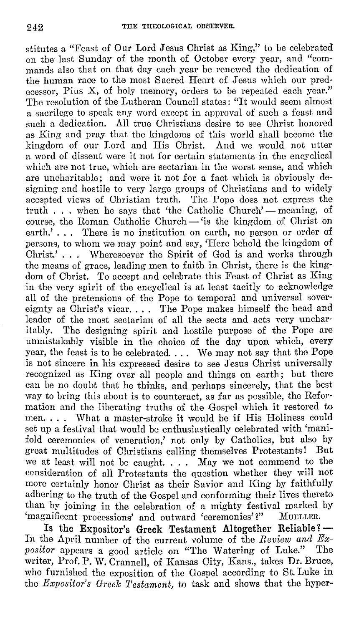stitutes a "Feast of Our Lord Jesus Christ as King," to be celebrated on the last Sunday of the month of October every year, and "commands also that on that day each year be renewed the dedication of the human race to the most Sacred Heart of Jesus which our predecessor, Pius X, of holy memory, orders to be repeated each year." The resolution of the Lutheran Council states: "It would seem almost a sacrilege to speak any word except in approval of such a feast and such a dedication. All true Christians desire to sec Christ honored as King and pray that the kingdoms of this world shall become the kingdom of our Lord and His Christ. And we would not utter a word of dissent were it not for certain statements in the encyclical which are not true, which are sectarian in the worst sense, and which are uncharitable; and were it not for a fact which is obviously designing and hostile to very large groups of Christians and to widely accepted views of Christian truth. The Pope does not express the truth  $\ldots$  when he says that 'the Catholic Church' — meaning, of course, the Roman Catholic Church- 'is the kingdom of Christ on earth.'... There is no institution on earth, no person or order of persons, to whom we may point and say, 'Here behold the kingdom of Christ.' . . . Wheresoever the Spirit of God is and works through the means of grace, leading men to faith in Christ, there is the kingdom of Christ. To accept and celebrate this Feast of Christ as King in the very spirit of the encyclical is at least tacitly to acknowledge all of the pretensions of the Pope to temporal and universal sovereignty as Christ's vicar. . . . The Pope makes himself the head and leader of the most sectarian of all the sects and acts very uncharitably. The designing spirit and hostile purpose of the Pope are unmistakably visible in the choice of the day upon which, every year, the feast is to be celebrated. . . . We may not say that the Pope is not sincere in his expressed desire to see Jesus Christ universally recognized as King over all people and things on earth; but there can be no doubt that he thinks, and perhaps sincerely, that the best way to bring this about is to counteract, as far as possible, the Reformation and the liberating truths of the Gospel which it restored to men. . . . What a master-stroke it would be if His Holiness could set up a festival that would be enthusiastically celebrated with 'manifold ceremonies of veneration,' not only by Catholics, but also by great multitudes of Christians calling themselves Protestants! But we at least will not be caught. . . . May we not commend to the consideration of all Protestants the question whether they will not more certainly honor Christ as their Savior and King by faithfully adhering to the truth of the Gospel and conforming their lives thereto than by joining in the celebration of a mighty festival marked by 'magnificent processions' and outward 'ceremonies'?" MURLLER.

Is the Expositor's Greek Testament Altogether Reliable?-In the April number of the current volume of the *Review and Ex-*<br>positor appears a good article on "The Watering of Luke." The *positor* appears a good article on "The Watering of Luke." writer, Prof. P. W. Crannell, of Kansas City, Kans., takes Dr. Bruce, who fumished the exposition of the Gospel according to St. Luke in the *Expositor's Greelc 1'estamcnt,* to task and shows that the hyper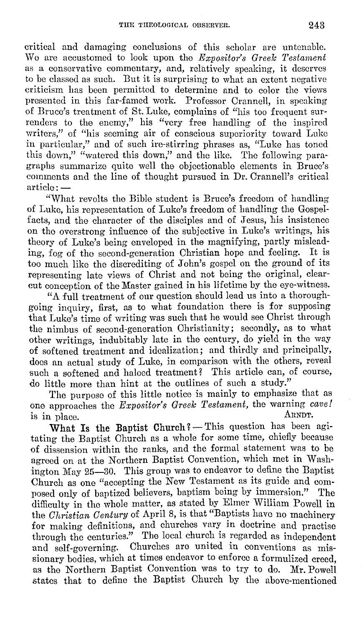critical and damaging conclusions of this scholar are untenable. We are accustomed to look upon the *Expositor's Greelc Testament*  as a conservative commentary, and, relatively speaking, it deserves to be classed as such. But it is surprising to what an extent negative criticism has been permitted to determine and to color the views presented in this far-famed work. Professor Crannell, in speaking of Bruce's treatment of St. Luke, complains of "his too frequent surrenders to the enemy," his "very free handling of the inspired writers," of "his seeming air of conscious superiority toward Luke in particular," and of such ire-stirring phrases as, "Luke has toned this down," "watered this down," and the like. The following paragraphs summarize quite well the objectionable elements in Bruce's comments and the line of thought pursued in Dr. Crannell's critical  $\ar{ticle}$ :  $-$ 

"What revolts the Bible student is Bruce's freedom of handling of Luke, his representation of Luke's freedom of handling the Gospelfacts, and the character of the disciples and of Jesus, his insistence on tho overstrong influence of tho subjective in Luke's writings, his theory of Luke's being enveloped in the magnifying, partly misleading, fog of tho second-generation Christian hope and feeling. It is too much like the discrediting of John's gospel on the ground of its representing late views of Christ and not being the original, clearcut conception of the Master gained in his lifetime by the eye-witness.

"A full treatment of our question should lead us into a thoroughgoing inquiry, first, as to what foundation there is for supposing that Luke's time of writing was such that he would see Christ through the nimbus of second-generation Christianity; secondly, as to what other writings, indubitably late in the century, do yield in the way of softened treatment and idealization; and thirdly and principally, docs an actual study of Luke, in comparison with the others, reveal such a softened and haloed treatment? This article can, of course, do little more than hint at the outlines of such a study."

The purpose of this little notice is mainly to emphasize that as one approaches the *Expositor's Greek Testament,* the warning *cave!* 

is in place. ARNDT.<br>
What Is the Baptist Church?—This question has been agitating the Baptist Ohurch as a whole for some time, chiefly because of dissension within the ranks, and the formal statement was to be agreed on at the Northern Baptist Convention, which met in Washington May 25-30. This group was to endeavor to define the Baptist Church as one "accepting the New Testament as its guide and composed only of baptized believers, baptism being by immersion." The difficulty in the whole matter, as stated by Elmer William Powell in the *Christian Century* of April 8, is that "Baptists have no machinery for making definitions, and churches vary in doctrine and practise through the centuries." The local church is regarded as independent and self-governing. Churches are united in conventions as missionary bodies, which at times endeavor to enforce a formulized creed. as the Northern Baptist Convention was to try to do. Mr. Powell states that to define the Baptist Church by the above-mentioned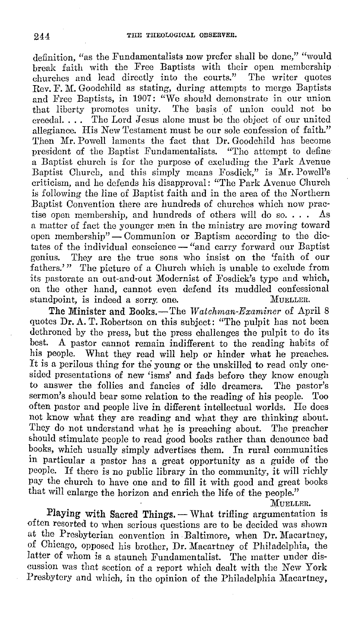definition, "as the Fundamentalists now prefer shall be done," "would break faith with the Free Baptists with their open membership churches and lead directly into the courts." The writer quotes Rev. F. M. Goodchild as stating, during attempts to merge Baptists and Free Baptists, in 1907: "We should demonstrate in our union that liberty promotes unity. The basis of union could not be creedal. . . . The Lord Jesus alone must be tho object of our united allegiance. His New Testament must be our sole confession of faith." Then Mr. Powell laments the fact that **Dr.** Goodchild has become president of the Baptist Fundamentalists. "The attempt to define a Baptist church is for the purpose of excluding the Park Avenue Baptist Church, and this simply means Fosdick," is Mr. Powell's criticism, and he defends his disapproval: "The Park A venue Church is following the line of Baptist faith and in the area of the Northern Baptist Convention there are hundreds of churches which now practise open membership, and hundreds of others will do so. . . . As a matter of fact the younger men in the ministry are moving toward open membership" - Communion or Baptism according to the dictates of the individual conscience - "and carry forward our Baptist genius. They are the true sons who insist on the 'faith of our fathers.'" The picture of a Church which is unable to exclude from its pastorate an out-and-out Modernist of Fosdick's type and which, on the other hand, cannot even defend its muddled confessional standpoint, is indeed a sorry, one. MUELLER.

The Minister and Books.-The *Watchman-Examiner* of April 8 quotes Dr. A. T. Robertson on this subject: "The pulpit has not been dethroned by the press, but the press challenges the pulpit to do its best. A pastor cannot remain indifferent to the reading habits of his people. What they read will help or hinder what he preaches. What they read will help or hinder what he preaches. It is a perilous thing for the young or the unskilled to read only onesided presentations of new 'isms' and fads before they know enough to answer the follies and fancies of idle dreamers. The pastor's sermon's should bear some relation to the reading of his people. Too often pastor and people live in different intellectual worlds. He does not know what they are reading and what they are thinking about. They do not understand what he is preaching about. The preacher should stimulate people to read good books rather than denounce bad books, which usually simply advertises them. In rural communities in particular a pastor has a great opportunity as a guide of the people. If there is no public library in tho community, it will richly pay the church *to* have one and to fill it with good and great books that will enlarge the horizon and enrich the life of the people."

MUELLER.

Playing with Sacred Things. - What trifling argumentation is often resorted to when serious questions are to be decided was shown at the Presbyterian convention in Baltimore, when Dr. Macartney, of Chicago, opposed his brother, Dr. Macartney of Philadelphia, the latter of whom is a staunch Fundamentalist. The matter under discussion was that section of a report which dealt with the New York Presbytery and which, in the opinion of the Philadelphia Macartney,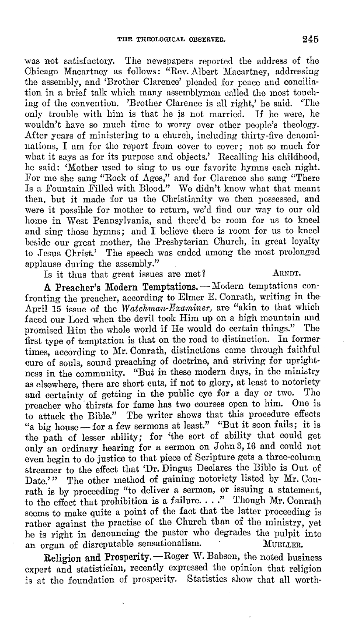was not satisfactory. The newspapers reported the address of the Chicago Macartney as follows: "Rev. Albert Macartney, addressing the assembly, and 'Brother Clarence' pleaded for peace and conciliation in a brief talk which many assemblymen called the most touching of the convention. 'Brother Clarence is all right,' he said. 'The only trouble with him is that he is not married. If he were, he wouldn't have so much time to worry over other people's theology. After years of ministering to a church, including thirty-five denominations, I am for the report from cover to cover; not so much for what it says as for its purpose and objects.' Recalling his childhood, he said: 'Mother used to sing to us our favorite hymns each night. For me she sang "Rock of Ages," and for Clarence she sang "There Is a Fountain Filled with Blood." We didn't know what that meant then, but it made for us the Christianity we then possessed, and were it possible for mother to return, we'd find our way to our old home in West Pennsylvania, and there'd be room for us to kneel and sing those hymns; and I believe there is room for us to kneel beside our great mother, the Presbyterian Church, in great loyalty to Jesus Christ.' The speech was ended among the most prolonged applause during the assembly.''

Is it thus that great issues are met? ARNDT.

A Preacher's Modern Temptations. - Modern temptations confronting the preacher, according to Elmer E. Conrath, writing in the April 15 issue of the *Watchman-Examiner,* are "akin to that which faced our Lord when the devil took Him up on a high mountain and promised Him the whole world if He would do certain things." The first type of temptation is that on the road to distinction. In former times, according to Mr. Conrath, distinctions came through faithful cure of souls, sound preaching of doctrine, and striving for uprightness in the community. "But in these modern days, in the ministry as elsewhere, there are short cuts, if not to glory, at least to notoriety<br>and conteinty of getting in the public eve for a day or two. The and certainty of getting in the public eye for a day or two. preacher who' thirsts for fame has two courses open to him. One is. to attack the Bible." The writer shows that this procedure effects "a big house - for a few sermons at least." "But it soon fails; it is the path of lesser ability; for 'the sort of ability that could get only an ordinary hearing for a sermon on John 3, 16 and could not even begin to do justice to that piece of Scripture gets a three-column streamer to the effect that 'Dr. Dingus Declares the Bible is Out of Date.'" The other method of gaining notoriety listed by Mr. Conrath is by proceeding "to deliver a sermon, or issuing a statement, to the effect that prohibition is a failure...." Though Mr. Conrath seems to make quite a point of the fact that the latter proceeding is rather against the practise of the Church than of the ministry, yet he is right in denouncing tho pastor who degrades the pulpit into an organ of disreputable sensationalism. MUELLER.

Religion and Prosperity.--Roger W. Babson, the noted business expert and statistician, recently expressed the opinion that religion is at the foundation of prosperity. Statistics show that all worth-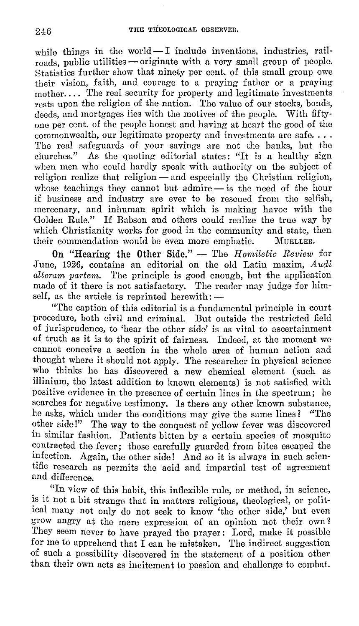while things in the world $-1$  include inventions, industries, railroads, public utilities — originate with a very small group of people. Statistics further show that ninety per cent. of this small group owe their vision, faith, and courage to a praying father or a praying mother.... The real security for property and legitimate investments rests upon the religion of the nation. The value of our stocks, bonds, deeds, and mortgages lies with the motives of the people. With fiftyone per cent. of the people honest and having at heart the good of the commonwealth, our legitimate property and investments are safe.... The real safeguards of your savings are not the banks, but the churches." As the quoting editorial states: "It is a healthy sign when men who could hardly speak with authority on the subject of religion realize that religion — and especially the Christian religion, whose teachings they cannot but admire - is the need of the hour if business and industry are ever to be rescued from tho selfish, mercenary, and inhuman spirit which is making havoc with the Golden Rule." If Babson and others could realize the true way by which Christianity works for good in the community and state, then their commendation would be even more emphatic. MUELLER. their commendation would be even more emphatic.

**On "Hearing the Other Side."** - The *Homiletic Review* for June, 1926, contains an editorial on the old Latin maxim, Audi *altcram partem.* The principle is good enough, but the application made of it there is not satisfactory. The reader may judge for himself, as the article is reprinted herewith: $-$ 

"The caption of this editorial is a fundamental principle in court procedure, both civil and criminal. But outside the restricted field of jurisprudence, to 'hear the other side' is as vital to ascertainment of truth as it is to the spirit of fairness. Indeed, at the moment we cannot conceive a section in the whole area of human action and thought where it should not apply. The researcher in physical science who thinks he has discovered a new chemical element (such as illinium, the latest addition to known elements) is not satisfied with positive evidence in the presence of certain lines in the spectrum; he searches for negative testimony. Is there any other known substance, he asks, which under the conditions may give the same lines? "The other side!" The way to the conquest of yellow fever was discovered in similar fashion. Patients bitten by a certain species of mosquito contracted the fever; those carefully guarded from bites escaped the infection. Again, the other side! And so it is always in such scientific research as permits the acid and impartial test of agreement and difference.

"In view of this habit, this inflexible rule, or method, in science, is it not a bit strange that in matters religious, theological, or political many not only do not seek to know 'the other side,' but even grow angry at the mere expression of an opinion not their own? They seem never to have prayed the prayer: Lord, make it possible for me to apprehend that I can be mistaken. The indirect suggestion of such a possibility discovered in the statement of a position other than their own acts as incitement to passion and challenge to combat.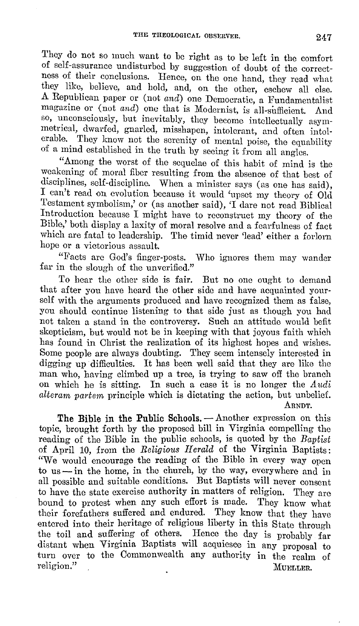They do not so much want to be right as to be left in the comfort of self-assurance undisturbed by suggestion of doubt of the correctness of their conclusions. Hence, on the one hand, they read what they like, believe, and hold, and, on the other, eschew all else. A Republican paper or (not *and)* one Democratic, a Fundamentalist magazine or (not *and)* one that is Modernist, is all-sufficient. And so, unconsciously, but inevitably, they become intellectually asymmetrical, dwarfed, gnarled, misshapen, intolerant, and often intolerable. They know not the serenity of mental poise, the equability of a mind established in the truth by seeing it from all angles.

"Among the worst of the sequelae of this habit of mind is the weakening of moral fiber resulting from the absence of that best of disciplines, self-discipline. When a minister says (as one has said), I can't read on evolution because it would 'upset my theory of Old Testament symbolism,' or (as another said), 'I dare not read Biblical Introduction because I might have to reconstruct my theory of the Bible,' both display a laxity of moral resolve and a fearfulness of fact which are fatal to leadership. The timid never 'lead' either a forlorn hope or a victorious assault.

"Facts are God's finger-posts. Who ignores them may wander far in the slough of the unverified."

To hear the other side is fair. But no one ought to demand that after you have heard the other side and have acquainted yourself with the arguments produced and have recognized them as false, you should continue listening to that side just as though you had not taken a stand in the controversy. Such an attitude would befit skepticism, but would not be in keeping with that joyous faith which has found in Christ the realization of its highest hopes and wishes. Some people are always doubting. They seem intensely interested in digging up difficulties. It has been well said that they are like the man who, having climbed up a tree, is trying to saw off the branch on which he is sitting. In such a case it is no longer the *Audi* alteram partem principle which is dictating the action, but unbelief. ARNDT.

The Bible in the Public Schools. - Another expression on this topic, brought forth by the proposed bill in Virginia compelling the reading of the Bible in the public schools, is quoted by the Baptist of April 10, from the *Religious II erald* of the Virginia Baptists: "We would encourage the reading of the Bible in every way open to us  $-\text{in}$  the home, in the church, by the way, everywhere and in all possible and suitable conditions. But Baptists will never consent to have the state exercise authority in matters of religion. They are bound to protest when any such effort is made. They know what their forefathers suffered and endured. They know that they have entered into their heritage of religious liberty in this State through the toil and suffering of others. Hence the day is probably far distant when Virginia Baptists will acquiesce in any proposal to turn over to the Commonwealth any authority in the realm of religion." MUELLER,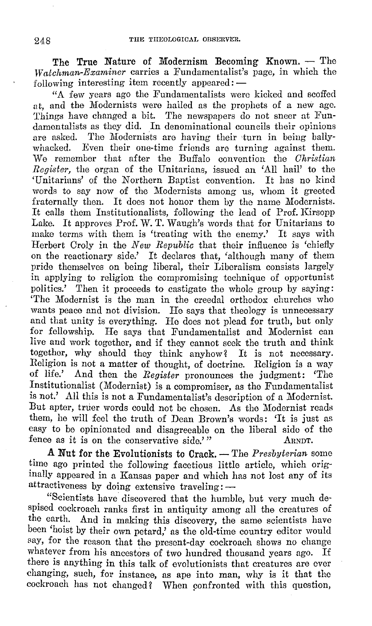The True Nature of Modernism Becoming Known.  $-$  The *VVatchman-Examiner* carries a Fundamentalist's page, in which the following interesting item recently appeared:  $-$ 

"A few years ago the Fundamentalists were kicked and scoffed at, and the Modernists were hailed as the prophets of a new age. Things have changed a bit. The newspapers do not sneer at Fundamentalists as they did. In denominational councils their opinions are asked. The Modernists are having their turn in being ballyare asked. The Modernists are having their turn in being bally-<br>whacked. Even their one-time friends are turning against them. Even their one-time friends are turning against them. We remember that after the Buffalo convention the *Christian Register,* the organ of the Unitarians, issued an 'All hail' to the 'Unitarians' of the Northern Baptist convention. It has no kind words to say now of the Modernists among us, whom it greeted fraternally then. It does not honor them by the name Modernists. It calls them Institutionalists, following the lead of Prof. Kirsopp Lake. It approves Prof. W. T. Waugh's words that for Unitarians to make terms with them is 'treating with the enemy.' It says with Herbert Oroly in the *New Republic* that their influence is 'chiefly on the reactionary side.' It declares that, 'although many of them pride themselves on being liberal, their Liberalism consists largely in applying to religion the compromising technique of opportunist politics.' Then it proceeds to castigate the whole group by saying: 'The Modernist is the man in the creedal orthodox churches who wants peace and not division. He says that theology is unnecessary and that unity is everything. Ho does not plead for truth, but only for fellowship. He says that Fundamentalist and Modernist can live and work together, and if they cannot seek the truth and think together, why should they think anyhow? It is not necessary. Religion is not a matter of thought, of doctrine. Religion is a way of life.' And then the *Register* pronounces the judgment: 'The Institutionalist (Modernist) is a compromiser, as the Fundamentalist is not.' All this is not a Fundamentalist's description of a Modernist. But apter, truer words could not bo chosen. As tho Modernist reads them, he will feel the truth of Dean Brown's words: 'It is just as easy to be opinionated and disagreeable on the liberal side of the fence as it is on the conservative side.'" ARNDT.

**A** Nut for the Evolutionists to Crack. — The *Presbyterian* some time ago printed the following facetious little article, which originally appeared in a Kansas paper and which has not lost any of its attractiveness by doing extensive traveling:  $-$ 

"Scientists have discovered that the humble, but very much despised cockroach ranks first in antiquity among all the creatures of the earth. And in making this discovery, the same scientists have been 'hoist by their own petard,' as the old-time country editor would say, for the reason that the present-day cockroach shows no change whatever from his ancestors of two hundred thousand years ago. If there is anything in this talk of evolutionists that creatures are ever changing, such, for instance, as ape into man, why is it that the cockroach has not changed? When confronted with this question,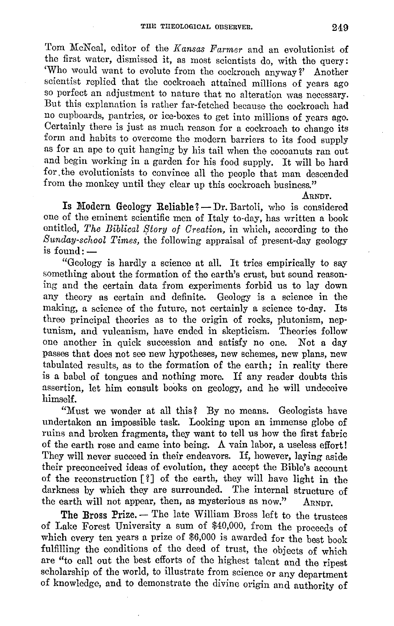Tom McNcal, editor of the *Kansas Farmer* and an evolutionist of the first water, dismissed it, as most scientists do, with the query: 'Who would want to evolute from the cockroach anyway?' Another scientist replied that the cockroach attained millions of years ago so perfect an adjustment to nature that no alteration was necessary. But this explanation is rather far-fetched because the cockroach had no cupboards, pantries, or ice-boxes to get into millions of years ago. Certainly there is just as much reason for a cockroach to change its form and habits to overcome the modern barriers to its food supply as for an ape to quit hanging by his tail when the cocoanuts ran out and begin working in a garden for his food supply. It will be hard for. the evolutionists to convince all the people that man descended from the monkey until they clear up this cockroach business."

ARNDT.

Is Modern Geology Reliable?  $-Dr$ . Bartoli, who is considered one of the eminent scientific men of Italy to-day, has written a book entitled, *The Biblical Story of Creation*, in which, according to the *Sunday-school Times,* the following appraisal of present-day geology is found:-

"Geology is hardly a science at all. It tries empirically to say something about the formation of the earth's crust, but sound reasoning and the certain data from experiments forbid us to lay down any theory as certain and definite. Geology is a science in the making, a science of the future, not certainly a science to-day. Its three principal theories as to the origin of rocks, plutonism, neptunism, and vulcanism, have ended in skepticism. Theories follow one another in quick succession and satisfy no one. Not a day passes that does not see new hypotheses, new schemes, new plans, new tabulated results, as to the formation of the earth; in reality there is a babel of tongues and nothing more. I£ any reader doubts this assertion, let him consult books on geology, and he will undeceive himself.

"Must we wonder at all this? By no means. Geologists have undertaken an impossible task. Looking upon an immense globe of ruins and broken fragments, they want to tell us how the first fabric of the earth rose and came into being. A vain labor, a useless effort I They will never succeed in their endeavors. If, however, laying aside their preconceived ideas of evolution, they accept the Bible's account of the reconstruction  $\lceil \ell \rceil$  of the earth, they will have light in the darkness by which they are surrounded. The internal structure of the earth will not appear, then, as mysterious as now."  $A_{RNDT}$ .

The Bross Prize. - The late William Bross left to the trustees of Lake Forest University a sum of \$40,000, from the proceeds of which every ten years a prize of \$6,000 is awarded for the best book fulfilling the conditions of the deed of trust, the objects of which are "to call out the best efforts of the highest talent and the ripest scholarship of the world, to illustrate from science or any department of knowledge, and to demonstrate the divine origin and authority of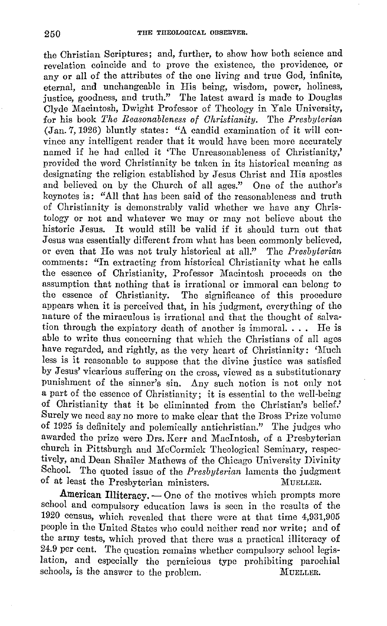the Christian Scriptures; and, further, to show how both science and revelation coincide and to prove the existence, the providence, or any or all of the attributes of the one living and true God, infinite, eternal, and unchangeable in His being, wisdom, power, holiness, justice, goodness, and truth." The latest award is made to Douglas Clyde Macintosh, Dwight Professor of Theology in Yale University, for his book *'l'he Reasonableness of Christianity.* The *Presbyterian*  (Jan. 7, 1926) bluntly states: "A candid examination of it will convince any intelligent reader that it would have been more accurately named if he had called it 'The Unreasonableness of Christianity,' provided the word Christianity be taken in its historical meaning as designating the religion established by Jesus Christ and His apostles and believed on by the Church of all ages." One of the author's keynotes is: "All that has been said of the reasonableness and truth of Christianity is demonstrably valid whether we have any Christology or not and whatever we may or may not believe about the historic Jesus. It would still be valid if it should turn out that Jesus was essentially different from what has been commonly believed, or even that He was not truly historical at all." The *Presbyterian*  comments: "In extracting from historical Christianity what he calls the essence of Christianity, Professor Macintosh proceeds on the assumption that nothing that is irrational or immoral can belong to the essence of Christianity. The significance of this procedure appears when it is perceived that, in his judgment, everything of the nature of the miraculous is irrational and that the thought of salvation through the expiatory death of another is immoral.... He is able to write thus concerning that which the Christians of all ages have regarded, and rightly, as the very heart of Christianity: 'Much less is it reasonable to suppose that the divine justice was satisfied by Jesus' vicarious suffering on the cross, viewed as a substitutionary punishment of the sinner's sin. Any such notion is not only not a part of the essence of Christianity; it is essential to the well-being of Christianity that it be eliminated from the Christian's belief.' Surely we need say no more to make clear that the Bross Prize volume of 1925 is definitely and polemically antichristian." The judges who awarded the prize were Drs. Kerr and MacIntosh, of a Presbyterian church in Pittsburgh and McCormick Theological Seminary, respectively, and Dean Shailer Mathews of the Chicago University Divinity School. The quoted issue of the *Presbyterian* laments the judgment of at least the Presbyterian ministers. MUELLER.

**American Illiteracy.** - One of the motives which prompts more school and compulsory education laws is seen in the results of the 1920 census, which revealed that there were at that time 4,931,905 people in the United States who could neither read nor write; and of the army tests, which proved that there was a practical illiteracy of 24.9 per cent. The question remains whether compulsory school legislation, and especially the pernicious type prohibiting parochial schools, is the answer to the problem. MUELLER.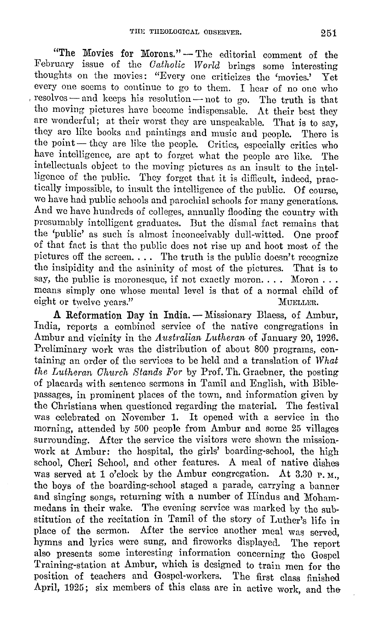"The Movies for Morons." - The editorial comment of the February issue of the *Catholic World* brings some interesting thoughts on the movies: "Every one criticizes the 'movies.' Yet every one seems to continue to go to them. I hear of no one who resolves - and keeps his resolution - not to go. The truth is that the moving pictures have become indispensable. At their best they are wonderful; at their worst they are unspeakable. That is to say, they arc like books and paintings and music and people. There is the point- they are like the people. Critics, especially critics who have intelligence, are apt to forget what the people arc like. The intellectuals object to the moving pictures as an insult to the intelligence of the public. They forget that it is difficult, indeed, practically impossible, to insult the intelligence of the public. Of course, we have had public schools and parochial schools for many generations. And we have hundreds of colleges, annually flooding the country with presumably intelligent graduates. But the dismal fact remains that the 'public' as such is almost inconceivably dull-witted. One proof of that fact is that the public does not rise up and hoot most of the pictures off the screen.  $\ldots$  The truth is the public doesn't recognize the insipidity and the asininity of most of the pictures. That is to say, the public is moronesque, if not exactly moron.... Moron... means simply one whose mental level is that of a normal child of eight or twelve years." MUELLER.

A Reformation Day in India. - Missionary Blaess, of Ambur, India, reports a combined service of the native congregations in Ambur and vicinity in the *Australian Lutheran* of January 20, 1926. Preliminary work was the distribution of about 800 programs, containing an order of the services to he held and a translation of *What the Lutheran Church Stands For* by Prof. Th. Graebner, the posting of placards with sentence sermons in Tamil and English, with Biblepassages, in prominent places of the town, and information given by the Christians when questioned regarding the material. The festival was celebrated on November 1. It opened with a service in tho morning, attended by 500 people from Ambur and some 25 villages surrounding. After the service the visitors were shown the missionwork at Ambur: the hospital, the girls' boarding-school, the high school, Cheri School, and other features. A meal of native dishes was served at 1 o'clock by the Ambur congregation. At 3.30 P.M. the boys of the boarding-school staged a parade, carrying a banner and singing songs, returning with a number of Hindus and Mohammedans in their wake. The evening service was marked by the substitution of the recitation in Tamil of the story of Luther's life in place of the sermon. After the service another meal was served, hymns and lyrics were sung, and fireworks displayed. The report also presents some interesting information concerning the Gospel Training-station at Ambur, which is designed to train men for the position of teachers and Gospel-workers. The first class finished April, 1925; six members of this class are in active work, and the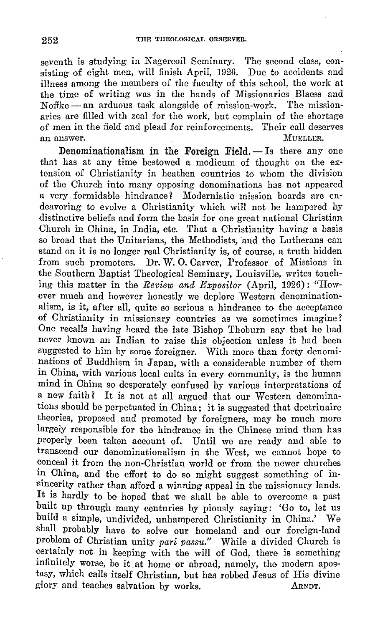seventh is studying in Nagercoil Seminary. The second class, consisting of eight men, will finish April, 1926. Due to accidents and illness among the members of the faculty of this school, the work at the time of writing was in the hands of Missionaries Blaess and  $N$ offke $-$  an arduous task alongside of mission-work. The missionaries are filled with zeal for the work, but complain of the shortage of men in the field and plead for reinforcements. Their call deserves<br>an answer. MUELLER. an answer. Multiple and the matrix of  $\mathbf{M}$ 

**Denominationalism in the Foreign Field.** - Is there any one that has at any time bestowed a modicum of thought on the extension of Christianity in heathen countries to whom the division of the Church into many opposing denominations has not appeared a very formidable hindrance? ·Modernistic mission boards are endeavoring to evolve a Christianity which will not be hampered by distinctive beliefs and form the basis for one great national Christian Church in China, in India, etc. That a Christianity having a basis so broad that the Unitarians, the Methodists, and the Lutherans can stand on it is no longer real Christianity is, of course, a truth hidden from such promoters. Dr. W. 0. Carver, Professor of Missions in the Southern Baptist Theological Seminary, Louisville, writes touching this matter in the *Review and Expositor* (April, 1926) : "However much and however honestly we deplore Western denominationalism, is it, after all, quite so serious a hindrance to the acceptance of Christianity in missionary countries as we sometimes imagine? One recalls having heard the late Bishop Thoburn say that he had never known an Indian to raise this objection unless it had been suggested to him by some foreigner. With more than forty denominations of Buddhism in Japan, with a considerable number of them in China, with various local cults in every community, is the human mind in China so desperately confused by various interpretations of a new faith? It is not at all argued that our Western denominations should be perpetuated in China; it is suggested that doctrinaire theories, proposed and promoted by foreigners, may be much more largely responsible for the hindrance in the Chinese mind than has properly been taken account of. Until we are ready and able to transcend our denominationalism in the West, we cannot hope to conceal it from the non-Christian world or from the newer churches *in* China, and the effort to do so might suggest something of insincerity rather than afford a winning appeal *in* the missionary lands. It is hardly to be hoped that we shall be able to overcome a past built up through many centuries by piously saying: 'Go to, let us build a simple, undivided, unhampered Christianity in China.' We shall probably have to solve our homeland and our foreign-land problem of Christian unity *pari passu."* While a divided Church is certainly not in keeping with the will of God, there is something infinitely worse, be *it* at home or abroad, namely, the modern apostasy, which calls itself Christian, but has robbed Jesus of His divine glory and teaches salvation by works. ARNDT.